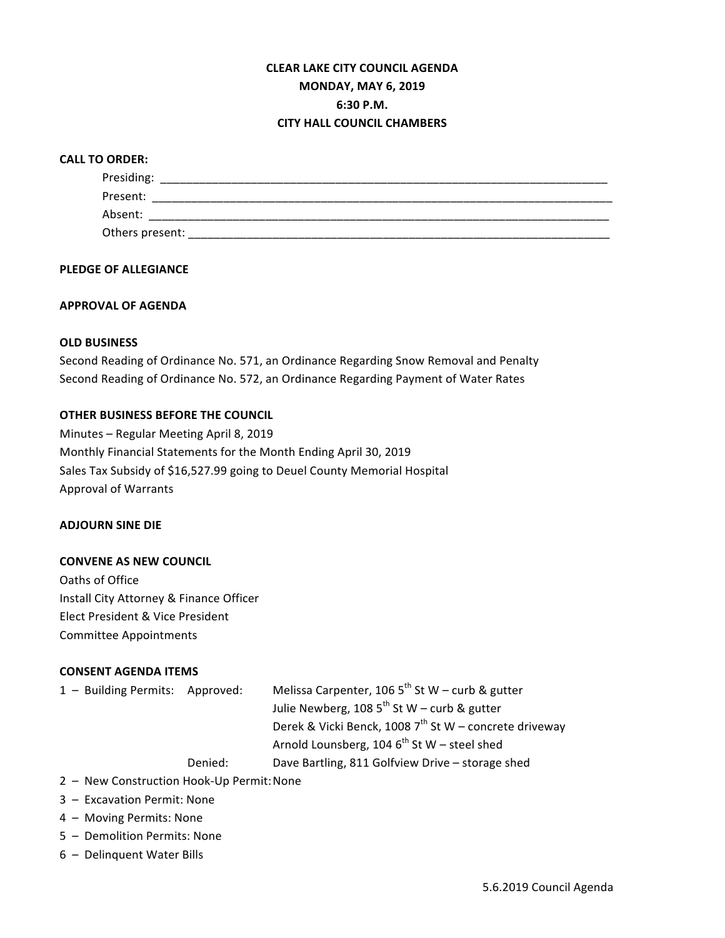# **CLEAR LAKE CITY COUNCIL AGENDA MONDAY, MAY 6, 2019 6:30 P.M. CITY HALL COUNCIL CHAMBERS**

#### **CALL TO ORDER:**

| Presiding:      |
|-----------------|
| Present:        |
| Absent:         |
| Others present: |

#### **PLEDGE OF ALLEGIANCE**

#### **APPROVAL OF AGENDA**

### **OLD BUSINESS**

Second Reading of Ordinance No. 571, an Ordinance Regarding Snow Removal and Penalty Second Reading of Ordinance No. 572, an Ordinance Regarding Payment of Water Rates

### **OTHER BUSINESS BEFORE THE COUNCIL**

Minutes - Regular Meeting April 8, 2019 Monthly Financial Statements for the Month Ending April 30, 2019 Sales Tax Subsidy of \$16,527.99 going to Deuel County Memorial Hospital Approval of Warrants

#### **ADJOURN SINE DIE**

### **CONVENE AS NEW COUNCIL**

Oaths of Office Install City Attorney & Finance Officer Elect President & Vice President Committee Appointments

#### **CONSENT AGENDA ITEMS**

| 1 - Building Permits: Approved: | Melissa Carpenter, 106 $5^{th}$ St W – curb & gutter |
|---------------------------------|------------------------------------------------------|
|                                 | Julie Newberg, 108 $5^{th}$ St W – curb & gutter     |

Derek & Vicki Benck, 1008  $7^{th}$  St W – concrete driveway

Arnold Lounsberg, 104  $6^{th}$  St W – steel shed

Denied: Dave Bartling, 811 Golfview Drive - storage shed

- 2 New Construction Hook-Up Permit: None
- 3 Excavation Permit: None
- 4 Moving Permits: None
- 5 Demolition Permits: None
- 6 Delinquent Water Bills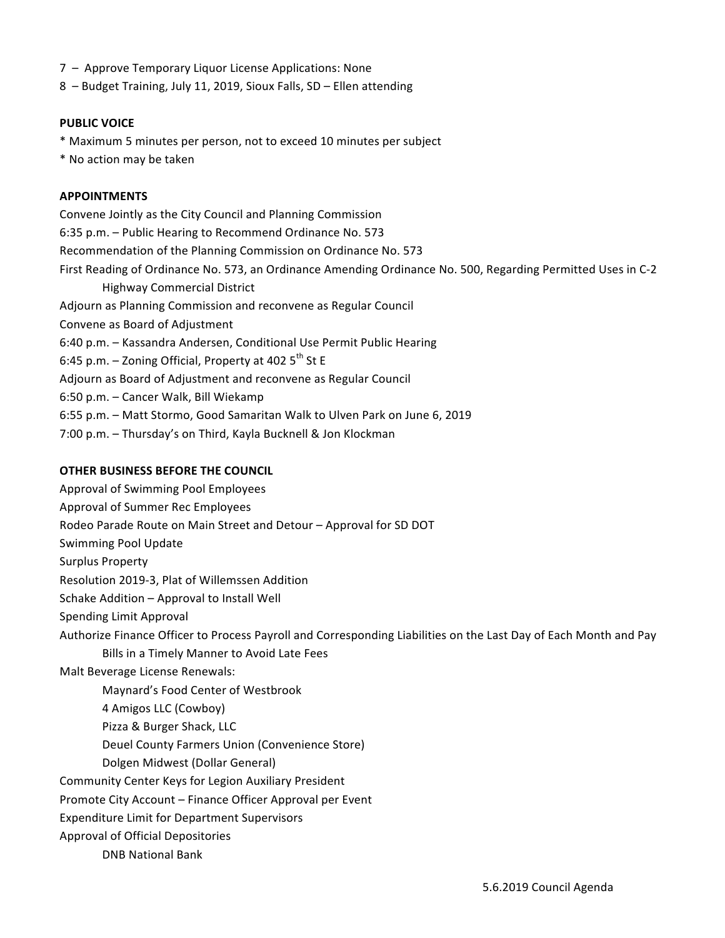- 7 Approve Temporary Liquor License Applications: None
- $8 -$  Budget Training, July 11, 2019, Sioux Falls, SD Ellen attending

#### **PUBLIC VOICE**

- \* Maximum 5 minutes per person, not to exceed 10 minutes per subject
- \* No action may be taken

#### **APPOINTMENTS**

Convene Jointly as the City Council and Planning Commission 6:35 p.m. - Public Hearing to Recommend Ordinance No. 573 Recommendation of the Planning Commission on Ordinance No. 573 First Reading of Ordinance No. 573, an Ordinance Amending Ordinance No. 500, Regarding Permitted Uses in C-2 Highway Commercial District Adjourn as Planning Commission and reconvene as Regular Council Convene as Board of Adjustment 6:40 p.m. - Kassandra Andersen, Conditional Use Permit Public Hearing 6:45 p.m.  $-$  Zoning Official, Property at 402  $5^{th}$  St E Adjourn as Board of Adjustment and reconvene as Regular Council 6:50 p.m. - Cancer Walk, Bill Wiekamp 6:55 p.m. - Matt Stormo, Good Samaritan Walk to Ulven Park on June 6, 2019 7:00 p.m. - Thursday's on Third, Kayla Bucknell & Jon Klockman

## **OTHER BUSINESS BEFORE THE COUNCIL**

Approval of Swimming Pool Employees Approval of Summer Rec Employees Rodeo Parade Route on Main Street and Detour – Approval for SD DOT Swimming Pool Update Surplus Property Resolution 2019-3, Plat of Willemssen Addition Schake Addition - Approval to Install Well Spending Limit Approval Authorize Finance Officer to Process Payroll and Corresponding Liabilities on the Last Day of Each Month and Pay Bills in a Timely Manner to Avoid Late Fees Malt Beverage License Renewals: Maynard's Food Center of Westbrook 4 Amigos LLC (Cowboy) Pizza & Burger Shack, LLC Deuel County Farmers Union (Convenience Store) Dolgen Midwest (Dollar General) Community Center Keys for Legion Auxiliary President Promote City Account – Finance Officer Approval per Event Expenditure Limit for Department Supervisors Approval of Official Depositories DNB National Bank